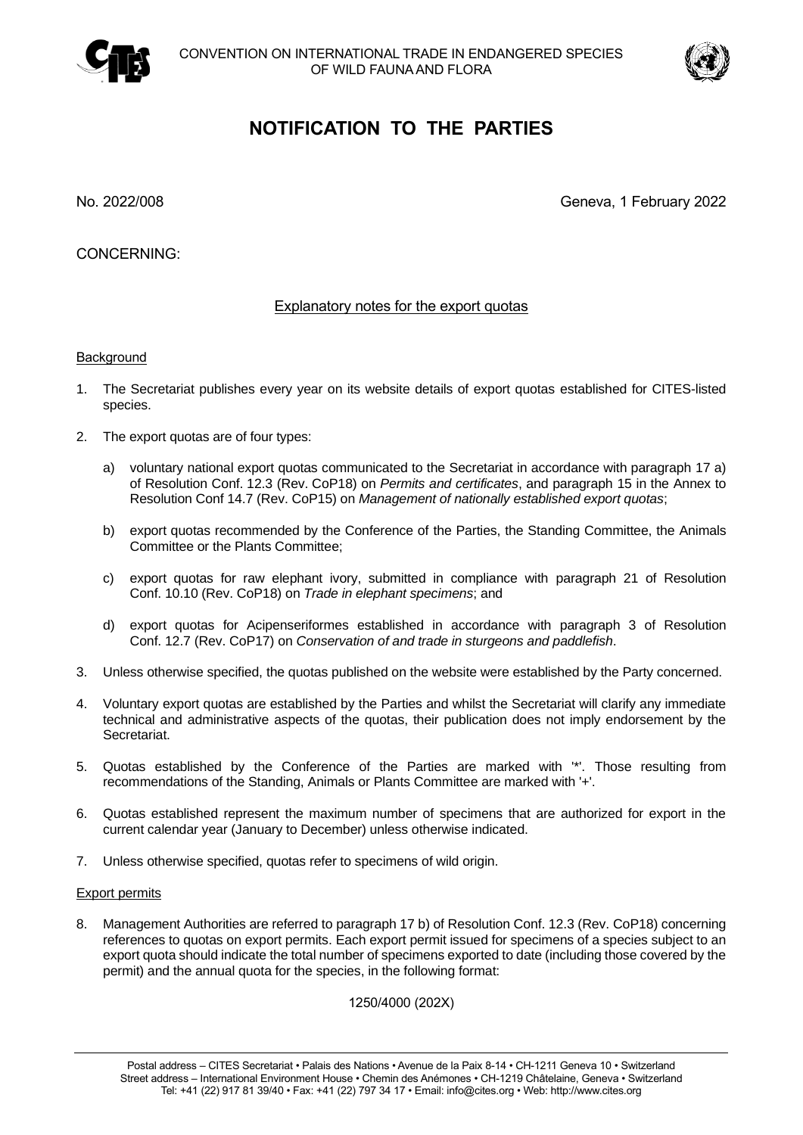



# **NOTIFICATION TO THE PARTIES**

No. 2022/008 Geneva, 1 February 2022

CONCERNING:

# Explanatory notes for the export quotas

## **Background**

- 1. The Secretariat publishes every year on its website details of export quotas established for CITES-listed species.
- 2. The export quotas are of four types:
	- a) voluntary national export quotas communicated to the Secretariat in accordance with paragraph 17 a) of Resolution Conf. 12.3 (Rev. CoP18) on *Permits and certificates*, and paragraph 15 in the Annex to Resolution Conf 14.7 (Rev. CoP15) on *Management of nationally established export quotas*;
	- b) export quotas recommended by the Conference of the Parties, the Standing Committee, the Animals Committee or the Plants Committee;
	- c) export quotas for raw elephant ivory, submitted in compliance with paragraph 21 of Resolution Conf. 10.10 (Rev. CoP18) on *Trade in elephant specimens*; and
	- d) export quotas for Acipenseriformes established in accordance with paragraph 3 of Resolution Conf. 12.7 (Rev. CoP17) on *Conservation of and trade in sturgeons and paddlefish*.
- 3. Unless otherwise specified, the quotas published on the website were established by the Party concerned.
- 4. Voluntary export quotas are established by the Parties and whilst the Secretariat will clarify any immediate technical and administrative aspects of the quotas, their publication does not imply endorsement by the Secretariat.
- 5. Quotas established by the Conference of the Parties are marked with '\*'. Those resulting from recommendations of the Standing, Animals or Plants Committee are marked with '+'.
- 6. Quotas established represent the maximum number of specimens that are authorized for export in the current calendar year (January to December) unless otherwise indicated.
- 7. Unless otherwise specified, quotas refer to specimens of wild origin.

## Export permits

8. Management Authorities are referred to paragraph 17 b) of Resolution Conf. 12.3 (Rev. CoP18) concerning references to quotas on export permits. Each export permit issued for specimens of a species subject to an export quota should indicate the total number of specimens exported to date (including those covered by the permit) and the annual quota for the species, in the following format:

## 1250/4000 (202X)